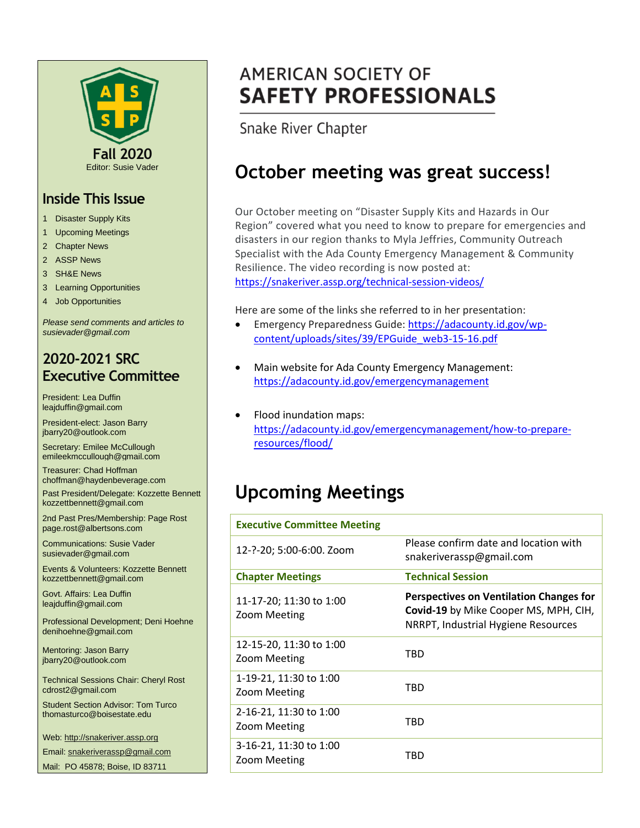

#### **Inside This Issue**

- 1 Disaster Supply Kits
- 1 Upcoming Meetings
- 2 Chapter News
- 2 ASSP News
- 3 SH&E News
- 3 Learning Opportunities
- 4 Job Opportunities

*Please send comments and articles to susievader@gmail.com*

#### **2020-2021 SRC Executive Committee**

President: Lea Duffin leajduffin@gmail.com

President-elect: Jason Barry jbarry20@outlook.com

Secretary: Emilee McCullough emileekmccullough@gmail.com

Treasurer: Chad Hoffman choffman@haydenbeverage.com

Past President/Delegate: Kozzette Bennett kozzettbennett@gmail.com

2nd Past Pres/Membership: Page Rost page.rost@albertsons.com

Communications: Susie Vader susievader@gmail.com

Events & Volunteers: Kozzette Bennett kozzettbennett@gmail.com

Govt. Affairs: Lea Duffin leajduffin@gmail.com

Professional Development; Deni Hoehne denihoehne@gmail.com

Mentoring: Jason Barry jbarry20@outlook.com

Technical Sessions Chair: Cheryl Rost cdrost2@gmail.com

Student Section Advisor: Tom Turco thomasturco@boisestate.edu

Web: http://snakeriver.assp.org

Email: snakeriverassp@gmail.com

Mail: PO 45878; Boise, ID 83711

# **AMERICAN SOCIETY OF SAFETY PROFESSIONALS**

Snake River Chapter

# **October meeting was great success!**

Our October meeting on "Disaster Supply Kits and Hazards in Our Region" covered what you need to know to prepare for emergencies and disasters in our region thanks to Myla Jeffries, Community Outreach Specialist with the Ada County Emergency Management & Community Resilience. The video recording is now posted at: <https://snakeriver.assp.org/technical-session-videos/>

Here are some of the links she referred to in her presentation:

- Emergency Preparedness Guide: [https://adacounty.id.gov/wp](https://adacounty.id.gov/wp-content/uploads/sites/39/EPGuide_web3-15-16.pdf)[content/uploads/sites/39/EPGuide\\_web3-15-16.pdf](https://adacounty.id.gov/wp-content/uploads/sites/39/EPGuide_web3-15-16.pdf)
- Main website for Ada County Emergency Management: [https://adacounty.id.gov/emergencymanagement](https://adacounty.id.gov/emergencymanagement/)
- Flood inundation maps: [https://adacounty.id.gov/emergencymanagement/how-to-prepare](https://adacounty.id.gov/emergencymanagement/how-to-prepare-resources/flood/)[resources/flood/](https://adacounty.id.gov/emergencymanagement/how-to-prepare-resources/flood/)

# **Upcoming Meetings**

| <b>Executive Committee Meeting</b>            |                                                                                                                         |
|-----------------------------------------------|-------------------------------------------------------------------------------------------------------------------------|
| 12-?-20; 5:00-6:00. Zoom                      | Please confirm date and location with<br>snakeriverassp@gmail.com                                                       |
| <b>Chapter Meetings</b>                       | <b>Technical Session</b>                                                                                                |
| 11-17-20; 11:30 to 1:00<br>Zoom Meeting       | Perspectives on Ventilation Changes for<br>Covid-19 by Mike Cooper MS, MPH, CIH,<br>NRRPT, Industrial Hygiene Resources |
| 12-15-20, 11:30 to 1:00<br>Zoom Meeting       | TBD                                                                                                                     |
| 1-19-21, 11:30 to 1:00<br>Zoom Meeting        | TBD                                                                                                                     |
| 2-16-21, 11:30 to 1:00<br><b>Zoom Meeting</b> | TBD                                                                                                                     |
| 3-16-21, 11:30 to 1:00<br>Zoom Meeting        | TBD                                                                                                                     |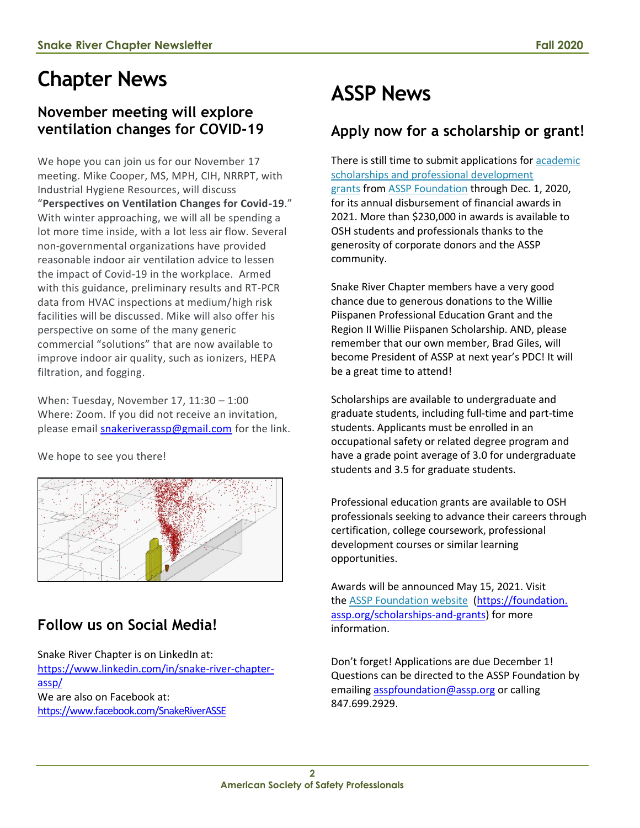# **Chapter News**

### **November meeting will explore ventilation changes for COVID-19**

We hope you can join us for our November 17 meeting. Mike Cooper, MS, MPH, CIH, NRRPT, with Industrial Hygiene Resources, will discuss "**Perspectives on Ventilation Changes for Covid-19**." With winter approaching, we will all be spending a lot more time inside, with a lot less air flow. Several non-governmental organizations have provided reasonable indoor air ventilation advice to lessen the impact of Covid-19 in the workplace. Armed with this guidance, preliminary results and RT-PCR data from HVAC inspections at medium/high risk facilities will be discussed. Mike will also offer his perspective on some of the many generic commercial "solutions" that are now available to improve indoor air quality, such as ionizers, HEPA filtration, and fogging.

When: Tuesday, November 17, 11:30 – 1:00 Where: Zoom. If you did not receive an invitation, please email [snakeriverassp@gmail.com](mailto:snakeriverassp@gmail.com) for the link.

We hope to see you there!



## **Follow us on Social Media!**

Snake River Chapter is on LinkedIn at: [https://www.linkedin.com/in/snake-river-chapter](https://www.linkedin.com/in/snake-river-chapter-assp/)[assp/](https://www.linkedin.com/in/snake-river-chapter-assp/) We are also on Facebook at: <https://www.facebook.com/SnakeRiverASSE>

# **ASSP News**

## **Apply now for a scholarship or grant!**

There is still time to submit applications for **academic** [scholarships and professional development](https://foundation.assp.org/scholarships-and-grants/)  [grants](https://foundation.assp.org/scholarships-and-grants/) from [ASSP Foundation](https://foundation.assp.org/) through Dec. 1, 2020, for its annual disbursement of financial awards in 2021. More than \$230,000 in awards is available to OSH students and professionals thanks to the generosity of corporate donors and the ASSP community.

Snake River Chapter members have a very good chance due to generous donations to the Willie Piispanen Professional Education Grant and the Region II Willie Piispanen Scholarship. AND, please remember that our own member, Brad Giles, will become President of ASSP at next year's PDC! It will be a great time to attend!

Scholarships are available to undergraduate and graduate students, including full-time and part-time students. Applicants must be enrolled in an occupational safety or related degree program and have a grade point average of 3.0 for undergraduate students and 3.5 for graduate students.

Professional education grants are available to OSH professionals seeking to advance their careers through certification, college coursework, professional development courses or similar learning opportunities.

Awards will be announced May 15, 2021. Visit the [ASSP Foundation website](http://www.assp.org/foundation) (https://foundation. assp.org/scholarships-and-grants) for more information.

Don't forget! Applications are due December 1! Questions can be directed to the ASSP Foundation by emailin[g asspfoundation@assp.org](mailto:asspfoundation@assp.org) or calling 847.699.2929.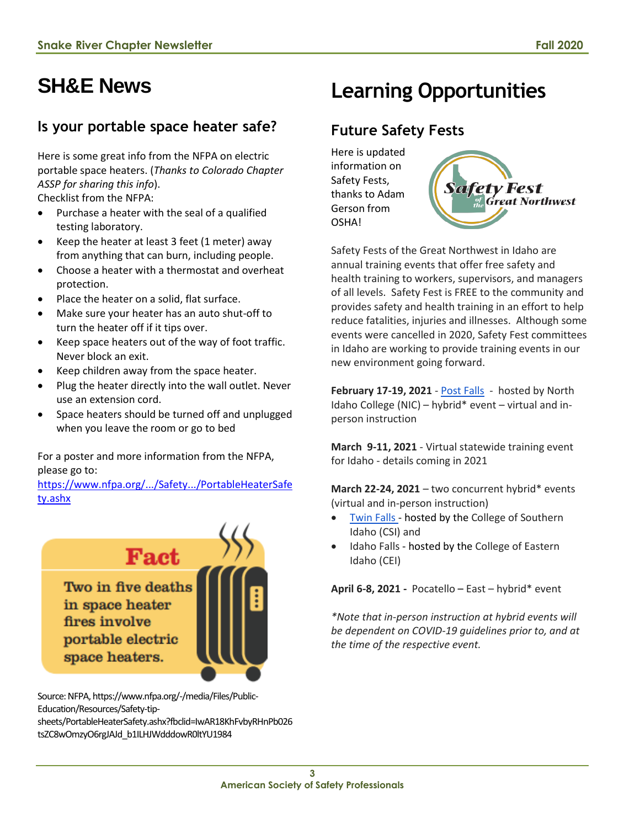# **SH&E News**

### **Is your portable space heater safe?**

Here is some great info from the NFPA on electric portable space heaters. (*Thanks to Colorado Chapter ASSP for sharing this info*). Checklist from the NFPA:

- Purchase a heater with the seal of a qualified testing laboratory.
- Keep the heater at least 3 feet (1 meter) away from anything that can burn, including people.
- Choose a heater with a thermostat and overheat protection.
- Place the heater on a solid, flat surface.
- Make sure your heater has an auto shut-off to turn the heater off if it tips over.
- Keep space heaters out of the way of foot traffic. Never block an exit.
- Keep children away from the space heater.
- Plug the heater directly into the wall outlet. Never use an extension cord.
- Space heaters should be turned off and unplugged when you leave the room or go to bed

For a poster and more information from the NFPA, please go to:

[https://www.nfpa.org/.../Safety.../PortableHeaterSafe](https://www.nfpa.org/-/media/Files/Public-Education/Resources/Safety-tip-sheets/PortableHeaterSafety.ashx?fbclid=IwAR18KhFvbyRHnPb026tsZC8wOmzyO6rgJAJd_b1ILHJWdddowR0ltYU1984) [ty.ashx](https://www.nfpa.org/-/media/Files/Public-Education/Resources/Safety-tip-sheets/PortableHeaterSafety.ashx?fbclid=IwAR18KhFvbyRHnPb026tsZC8wOmzyO6rgJAJd_b1ILHJWdddowR0ltYU1984)



Source: NFPA, https://www.nfpa.org/-/media/Files/Public-Education/Resources/Safety-tipsheets/PortableHeaterSafety.ashx?fbclid=IwAR18KhFvbyRHnPb026 tsZC8wOmzyO6rgJAJd\_b1ILHJWdddowR0ltYU1984

# **Learning Opportunities**

## **Future Safety Fests**

Here is updated information on Safety Fests, thanks to Adam Gerson from **OSHA!** 



Safety Fests of the Great Northwest in Idaho are annual training events that offer free safety and health training to workers, supervisors, and managers of all levels. Safety Fest is FREE to the community and provides safety and health training in an effort to help reduce fatalities, injuries and illnesses. Although some events were cancelled in 2020, Safety Fest committees in Idaho are working to provide training events in our new environment going forward.

**February 17-19, 2021** - [Post Falls](https://www.nic.edu/websites/default.aspx?dpt=195&pageId=6356) - hosted by North Idaho College (NIC) – hybrid\* event – virtual and inperson instruction

**March 9-11, 2021** - Virtual statewide training event for Idaho - details coming in 2021

**March 22-24, 2021** – two concurrent hybrid\* events (virtual and in-person instruction)

- [Twin Falls](https://workforce.csi.edu/events/safety-fest/default.aspx) hosted by the College of Southern Idaho (CSI) and
- Idaho Falls hosted by the College of Eastern Idaho (CEI)

**April 6-8, 2021 -** Pocatello – East – hybrid\* event

*\*Note that in-person instruction at hybrid events will be dependent on COVID-19 guidelines prior to, and at the time of the respective event.*